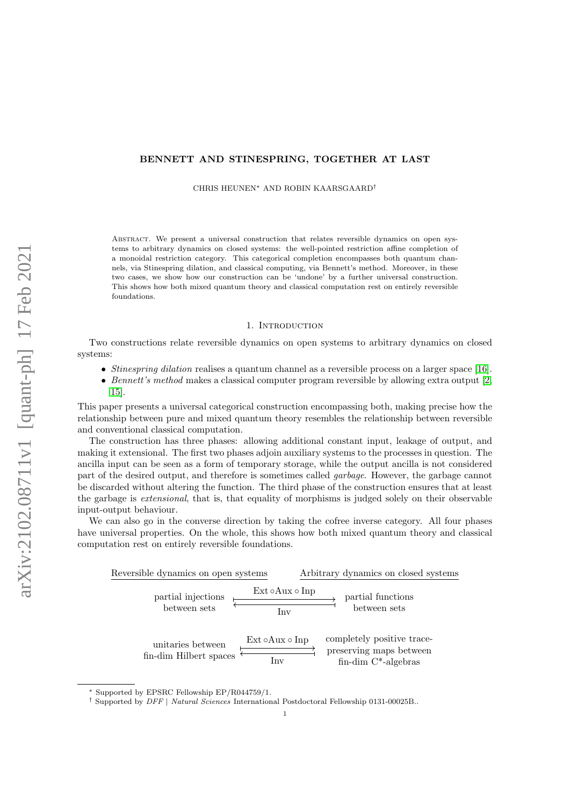## BENNETT AND STINESPRING, TOGETHER AT LAST

CHRIS HEUNEN<sup>∗</sup> AND ROBIN KAARSGAARD†

Abstract. We present a universal construction that relates reversible dynamics on open systems to arbitrary dynamics on closed systems: the well-pointed restriction affine completion of a monoidal restriction category. This categorical completion encompasses both quantum channels, via Stinespring dilation, and classical computing, via Bennett's method. Moreover, in these two cases, we show how our construction can be 'undone' by a further universal construction. This shows how both mixed quantum theory and classical computation rest on entirely reversible foundations.

#### 1. INTRODUCTION

Two constructions relate reversible dynamics on open systems to arbitrary dynamics on closed systems:

- Stinespring dilation realises a quantum channel as a reversible process on a larger space [\[16\]](#page-10-0).
- Bennett's method makes a classical computer program reversible by allowing extra output  $[2,$ [15\]](#page-10-2).

This paper presents a universal categorical construction encompassing both, making precise how the relationship between pure and mixed quantum theory resembles the relationship between reversible and conventional classical computation.

The construction has three phases: allowing additional constant input, leakage of output, and making it extensional. The first two phases adjoin auxiliary systems to the processes in question. The ancilla input can be seen as a form of temporary storage, while the output ancilla is not considered part of the desired output, and therefore is sometimes called garbage. However, the garbage cannot be discarded without altering the function. The third phase of the construction ensures that at least the garbage is extensional, that is, that equality of morphisms is judged solely on their observable input-output behaviour.

We can also go in the converse direction by taking the cofree inverse category. All four phases have universal properties. On the whole, this shows how both mixed quantum theory and classical computation rest on entirely reversible foundations.



<sup>∗</sup> Supported by EPSRC Fellowship EP/R044759/1.

<sup>†</sup> Supported by DFF | Natural Sciences International Postdoctoral Fellowship 0131-00025B..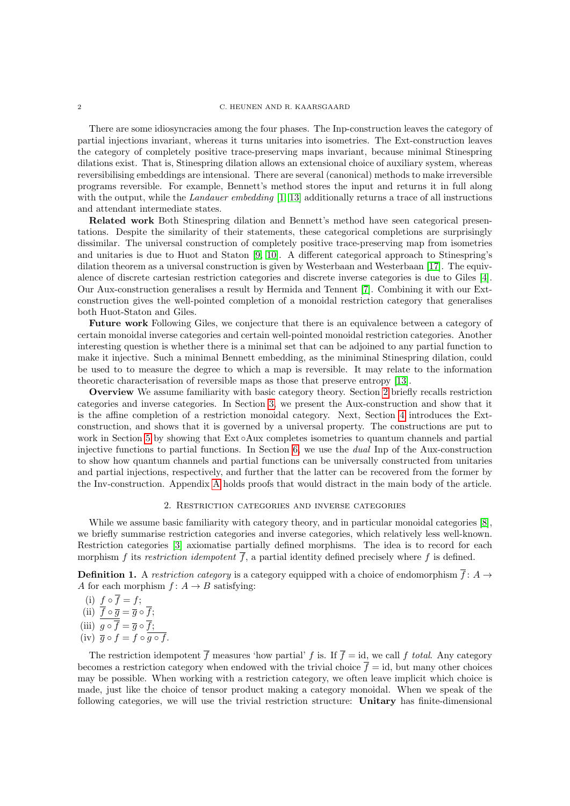#### 2 C. HEUNEN AND R. KAARSGAARD

There are some idiosyncracies among the four phases. The Inp-construction leaves the category of partial injections invariant, whereas it turns unitaries into isometries. The Ext-construction leaves the category of completely positive trace-preserving maps invariant, because minimal Stinespring dilations exist. That is, Stinespring dilation allows an extensional choice of auxiliary system, whereas reversibilising embeddings are intensional. There are several (canonical) methods to make irreversible programs reversible. For example, Bennett's method stores the input and returns it in full along with the output, while the Landauer embedding  $[1, 13]$  $[1, 13]$  additionally returns a trace of all instructions and attendant intermediate states.

Related work Both Stinespring dilation and Bennett's method have seen categorical presentations. Despite the similarity of their statements, these categorical completions are surprisingly dissimilar. The universal construction of completely positive trace-preserving map from isometries and unitaries is due to Huot and Staton [\[9,](#page-10-5) [10\]](#page-10-6). A different categorical approach to Stinespring's dilation theorem as a universal construction is given by Westerbaan and Westerbaan [\[17\]](#page-10-7). The equivalence of discrete cartesian restriction categories and discrete inverse categories is due to Giles [\[4\]](#page-10-8). Our Aux-construction generalises a result by Hermida and Tennent [\[7\]](#page-10-9). Combining it with our Extconstruction gives the well-pointed completion of a monoidal restriction category that generalises both Huot-Staton and Giles.

Future work Following Giles, we conjecture that there is an equivalence between a category of certain monoidal inverse categories and certain well-pointed monoidal restriction categories. Another interesting question is whether there is a minimal set that can be adjoined to any partial function to make it injective. Such a minimal Bennett embedding, as the miniminal Stinespring dilation, could be used to to measure the degree to which a map is reversible. It may relate to the information theoretic characterisation of reversible maps as those that preserve entropy [\[13\]](#page-10-4).

Overview We assume familiarity with basic category theory. Section [2](#page-1-0) briefly recalls restriction categories and inverse categories. In Section [3,](#page-2-0) we present the Aux-construction and show that it is the affine completion of a restriction monoidal category. Next, Section [4](#page-6-0) introduces the Extconstruction, and shows that it is governed by a universal property. The constructions are put to work in Section [5](#page-7-0) by showing that Ext ∘Aux completes isometries to quantum channels and partial injective functions to partial functions. In Section [6,](#page-8-0) we use the dual Inp of the Aux-construction to show how quantum channels and partial functions can be universally constructed from unitaries and partial injections, respectively, and further that the latter can be recovered from the former by the Inv-construction. Appendix [A](#page-11-0) holds proofs that would distract in the main body of the article.

# 2. Restriction categories and inverse categories

<span id="page-1-0"></span>While we assume basic familiarity with category theory, and in particular monoidal categories [\[8\]](#page-10-10), we briefly summarise restriction categories and inverse categories, which relatively less well-known. Restriction categories [\[3\]](#page-10-11) axiomatise partially defined morphisms. The idea is to record for each morphism f its restriction idempotent  $\overline{f}$ , a partial identity defined precisely where f is defined.

<span id="page-1-1"></span>**Definition 1.** A restriction category is a category equipped with a choice of endomorphism  $\overline{f}$ : A  $\rightarrow$ A for each morphism  $f: A \rightarrow B$  satisfying:

(i)  $f \circ f = f$ ;

(ii)  $f \circ \overline{g} = \overline{g} \circ f;$ 

- (iii)  $g \circ f = \overline{g} \circ f$ ;
- $(iv) \bar{g} \circ f = f \circ g \circ f.$

The restriction idempotent  $\overline{f}$  measures 'how partial' f is. If  $\overline{f} = id$ , we call f total. Any category becomes a restriction category when endowed with the trivial choice  $\overline{f} = id$ , but many other choices may be possible. When working with a restriction category, we often leave implicit which choice is made, just like the choice of tensor product making a category monoidal. When we speak of the following categories, we will use the trivial restriction structure: Unitary has finite-dimensional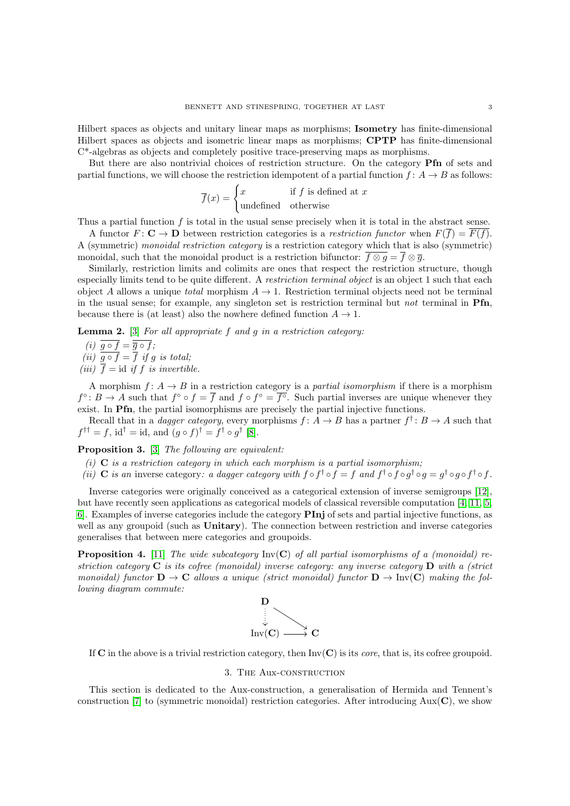Hilbert spaces as objects and unitary linear maps as morphisms; Isometry has finite-dimensional Hilbert spaces as objects and isometric linear maps as morphisms; CPTP has finite-dimensional C\*-algebras as objects and completely positive trace-preserving maps as morphisms.

But there are also nontrivial choices of restriction structure. On the category **Pfn** of sets and partial functions, we will choose the restriction idempotent of a partial function  $f: A \rightarrow B$  as follows:

$$
\overline{f}(x) = \begin{cases} x & \text{if } f \text{ is defined at } x \\ \text{undefined} & \text{otherwise} \end{cases}
$$

Thus a partial function f is total in the usual sense precisely when it is total in the abstract sense.

A functor  $F: \mathbf{C} \to \mathbf{D}$  between restriction categories is a restriction functor when  $F(\overline{f}) = F(f)$ . A (symmetric) monoidal restriction category is a restriction category which that is also (symmetric) monoidal, such that the monoidal product is a restriction bifunctor:  $\overline{f \otimes q} = \overline{f} \otimes \overline{q}$ .

Similarly, restriction limits and colimits are ones that respect the restriction structure, though especially limits tend to be quite different. A restriction terminal object is an object 1 such that each object A allows a unique *total* morphism  $A \rightarrow 1$ . Restriction terminal objects need not be terminal in the usual sense; for example, any singleton set is restriction terminal but *not* terminal in  $\text{Pfn}$ , because there is (at least) also the nowhere defined function  $A \rightarrow 1$ .

**Lemma 2.** [\[3\]](#page-10-11) For all appropriate  $f$  and  $g$  in a restriction category:

$$
(i) \ \overline{g \circ f} = \overline{\overline{g} \circ f};
$$

(ii)  $g \circ f = f$  if g is total;

(iii)  $\overline{f} = id$  if f is invertible.

A morphism  $f: A \to B$  in a restriction category is a *partial isomorphism* if there is a morphism  $f^{\circ}: B \to A$  such that  $f^{\circ} \circ f = \overline{f}$  and  $f \circ f^{\circ} = \overline{f^{\circ}}$ . Such partial inverses are unique whenever they exist. In Pfn, the partial isomorphisms are precisely the partial injective functions.

Recall that in a *dagger category*, every morphisms  $f: A \to B$  has a partner  $f^{\dagger}: B \to A$  such that  $f^{\dagger \dagger} = f$ , id<sup>†</sup> = id, and  $(g \circ f)^{\dagger} = f^{\dagger} \circ g^{\dagger}$  [\[8\]](#page-10-10).

Proposition 3. [\[3\]](#page-10-11) The following are equivalent:

(i)  $C$  is a restriction category in which each morphism is a partial isomorphism;

(ii) C is an inverse category: a dagger category with  $f \circ f^{\dagger} \circ f = f$  and  $f^{\dagger} \circ f \circ g^{\dagger} \circ g = g^{\dagger} \circ g \circ f^{\dagger} \circ f$ .

Inverse categories were originally conceived as a categorical extension of inverse semigroups [\[12\]](#page-10-12), but have recently seen applications as categorical models of classical reversible computation [\[4,](#page-10-8) [11,](#page-10-13) [5,](#page-10-14) [6\]](#page-10-15). Examples of inverse categories include the category PInj of sets and partial injective functions, as well as any groupoid (such as **Unitary**). The connection between restriction and inverse categories generalises that between mere categories and groupoids.

<span id="page-2-1"></span>**Proposition 4.** [\[11\]](#page-10-13) The wide subcategory  $Inv(C)$  of all partial isomorphisms of a (monoidal) restriction category  $\bf{C}$  is its cofree (monoidal) inverse category: any inverse category  $\bf{D}$  with a (strict monoidal) functor  $D \to C$  allows a unique (strict monoidal) functor  $D \to Inv(C)$  making the following diagram commute:



If C in the above is a trivial restriction category, then  $Inv(C)$  is its *core*, that is, its cofree groupoid.

## 3. The Aux-construction

<span id="page-2-0"></span>This section is dedicated to the Aux-construction, a generalisation of Hermida and Tennent's construction [\[7\]](#page-10-9) to (symmetric monoidal) restriction categories. After introducing  $Aux(C)$ , we show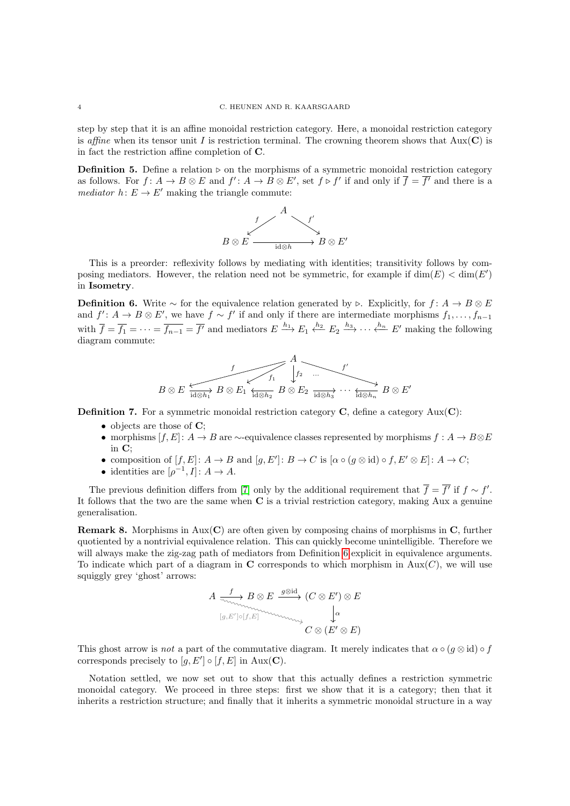step by step that it is an affine monoidal restriction category. Here, a monoidal restriction category is affine when its tensor unit I is restriction terminal. The crowning theorem shows that  $Aux(C)$  is in fact the restriction affine completion of C.

**Definition 5.** Define a relation  $\rhd$  on the morphisms of a symmetric monoidal restriction category as follows. For  $f: A \to B \otimes E$  and  $f': A \to B \otimes E'$ , set  $f \triangleright f'$  if and only if  $\overline{f} = \overline{f'}$  and there is a mediator  $h: E \to E'$  making the triangle commute:



This is a preorder: reflexivity follows by mediating with identities; transitivity follows by composing mediators. However, the relation need not be symmetric, for example if  $\dim(E) < \dim(E')$ in Isometry.

<span id="page-3-0"></span>**Definition 6.** Write  $\sim$  for the equivalence relation generated by  $\triangleright$ . Explicitly, for  $f: A \rightarrow B \otimes E$ and  $f' : A \to B \otimes E'$ , we have  $f \sim f'$  if and only if there are intermediate morphisms  $f_1, \ldots, f_{n-1}$ with  $\overline{f} = \overline{f_1} = \cdots = \overline{f_{n-1}} = \overline{f'}$  and mediators  $E \stackrel{h_1}{\longrightarrow} E_1 \stackrel{h_2}{\longleftarrow} E_2 \stackrel{h_3}{\longrightarrow} \cdots \stackrel{h_n}{\longleftarrow} E'$  making the following diagram commute:

$$
B\otimes E \xrightarrow[\textrm{id}\otimes h_1]{f} B\otimes E_1 \xleftarrow[\textrm{id}\otimes h_2]{f_1} B\otimes E_2 \xrightarrow[\textrm{id}\otimes h_3]{f'} \cdots \xleftarrow[\textrm{id}\otimes h_n]{B\otimes E'}
$$

**Definition 7.** For a symmetric monoidal restriction category  $C$ , define a category  $Aux(C)$ :

- $\bullet$  objects are those of  $\mathbf{C}$ :
- morphisms  $[f, E]: A \to B$  are  $\sim$ -equivalence classes represented by morphisms  $f: A \to B \otimes E$ in  $C$
- composition of  $[f, E] : A \to B$  and  $[g, E'] : B \to C$  is  $[\alpha \circ (g \otimes id) \circ f, E' \otimes E] : A \to C$ ;
- identities are  $[\rho^{-1}, I] : A \to A$ .

The previous definition differs from [\[7\]](#page-10-9) only by the additional requirement that  $\overline{f} = \overline{f'}$  if  $f \sim f'$ . It follows that the two are the same when C is a trivial restriction category, making Aux a genuine generalisation.

**Remark 8.** Morphisms in  $Aux(C)$  are often given by composing chains of morphisms in  $C$ , further quotiented by a nontrivial equivalence relation. This can quickly become unintelligible. Therefore we will always make the zig-zag path of mediators from Definition [6](#page-3-0) explicit in equivalence arguments. To indicate which part of a diagram in  $C$  corresponds to which morphism in Aux( $C$ ), we will use squiggly grey 'ghost' arrows:

$$
A \xrightarrow[\langle g, E'] \circ [f, E] \rangle]{} B \otimes E \xrightarrow{g \otimes id} (C \otimes E') \otimes E
$$

$$
[g, E'] \circ [f, E] \xrightarrow[\langle \alpha, \beta \rangle]{} C \otimes (E' \otimes E)
$$

This ghost arrow is not a part of the commutative diagram. It merely indicates that  $\alpha \circ (g \otimes id) \circ f$ corresponds precisely to  $[g, E'] \circ [f, E]$  in Aux(C).

Notation settled, we now set out to show that this actually defines a restriction symmetric monoidal category. We proceed in three steps: first we show that it is a category; then that it inherits a restriction structure; and finally that it inherits a symmetric monoidal structure in a way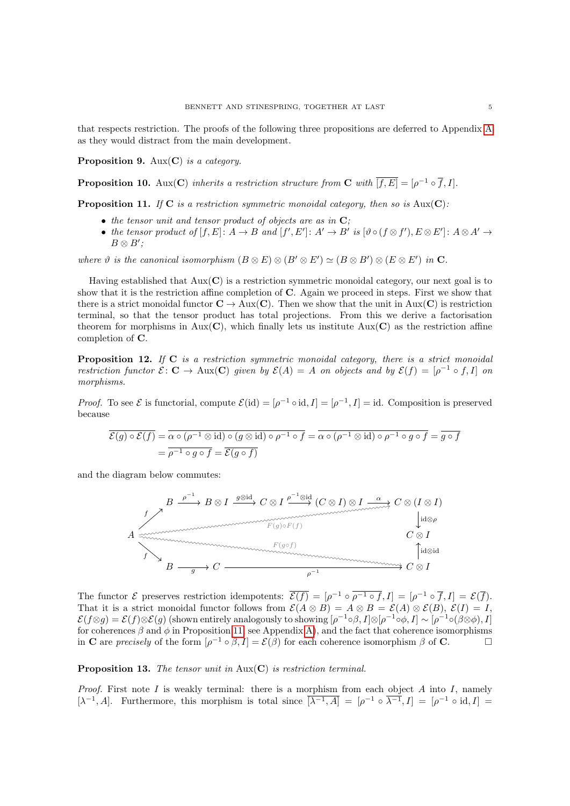that respects restriction. The proofs of the following three propositions are deferred to Appendix [A](#page-11-0) as they would distract from the main development.

<span id="page-4-1"></span>**Proposition 9.** Aux( $C$ ) is a category.

<span id="page-4-2"></span>**Proposition 10.** Aux(C) inherits a restriction structure from C with  $\overline{[f, E]} = [\rho^{-1} \circ \overline{f}, I].$ 

<span id="page-4-0"></span>**Proposition 11.** If C is a restriction symmetric monoidal category, then so is  $Aux(C)$ :

- $\bullet$  the tensor unit and tensor product of objects are as in  $\mathbf{C}$ ;
- the tensor product of  $[f, E] : A \to B$  and  $[f', E'] : A' \to B'$  is  $[\vartheta \circ (f \otimes f'), E \otimes E'] : A \otimes A' \to B'$  $B \otimes B'$ ;

where  $\vartheta$  is the canonical isomorphism  $(B \otimes E) \otimes (B' \otimes E') \simeq (B \otimes B') \otimes (E \otimes E')$  in C.

Having established that  $Aux(C)$  is a restriction symmetric monoidal category, our next goal is to show that it is the restriction affine completion of  $C$ . Again we proceed in steps. First we show that there is a strict monoidal functor  $C \to \text{Aux}(C)$ . Then we show that the unit in Aux(C) is restriction terminal, so that the tensor product has total projections. From this we derive a factorisation theorem for morphisms in  $Aux(C)$ , which finally lets us institute  $Aux(C)$  as the restriction affine completion of C.

**Proposition 12.** If  $C$  is a restriction symmetric monoidal category, there is a strict monoidal restriction functor  $\mathcal{E}: \mathbf{C} \to \text{Aux}(\mathbf{C})$  given by  $\mathcal{E}(A) = A$  on objects and by  $\mathcal{E}(f) = [\rho^{-1} \circ f, I]$  on morphisms.

*Proof.* To see  $\mathcal{E}$  is functorial, compute  $\mathcal{E}(\text{id}) = [\rho^{-1} \circ \text{id}, I] = [\rho^{-1}, I] = \text{id}$ . Composition is preserved because

$$
\overline{\mathcal{E}(g) \circ \mathcal{E}(f)} = \overline{\alpha \circ (\rho^{-1} \otimes \text{id}) \circ (g \otimes \text{id}) \circ \rho^{-1} \circ f} = \overline{\alpha \circ (\rho^{-1} \otimes \text{id}) \circ \rho^{-1} \circ g \circ f} = \overline{g \circ f}
$$

$$
= \overline{\rho^{-1} \circ g \circ f} = \overline{\mathcal{E}(g \circ f)}
$$

and the diagram below commutes:



The functor  $\mathcal E$  preserves restriction idempotents:  $\overline{\mathcal E(f)} = [\rho^{-1} \circ \overline{\rho^{-1} \circ f}, I] = [\rho^{-1} \circ \overline{f}, I] = \mathcal E(\overline{f}).$ That it is a strict monoidal functor follows from  $\mathcal{E}(A \otimes B) = A \otimes B = \mathcal{E}(A) \otimes \mathcal{E}(B), \ \mathcal{E}(I) = I$ ,  $\mathcal{E}(f \otimes g) = \mathcal{E}(f) \otimes \mathcal{E}(g)$  (shown entirely analogously to showing  $[\rho^{-1} \circ \beta, I] \otimes [\rho^{-1} \circ \phi, I] \sim [\rho^{-1} \circ (\beta \otimes \phi), I]$ for coherences  $\beta$  and  $\phi$  in Proposition [11,](#page-4-0) see Appendix [A\)](#page-11-0), and the fact that coherence isomorphisms in **C** are precisely of the form  $[\rho^{-1} \circ \beta, I] = \mathcal{E}(\beta)$  for each coherence isomorphism  $\beta$  of **C**.

**Proposition 13.** The tensor unit in  $Aux(C)$  is restriction terminal.

*Proof.* First note I is weakly terminal: there is a morphism from each object A into I, namely  $[\lambda^{-1}, A]$ . Furthermore, this morphism is total since  $\overline{[\lambda^{-1}, A]} = [\rho^{-1} \circ \overline{\lambda^{-1}}, I] = [\rho^{-1} \circ id, I] =$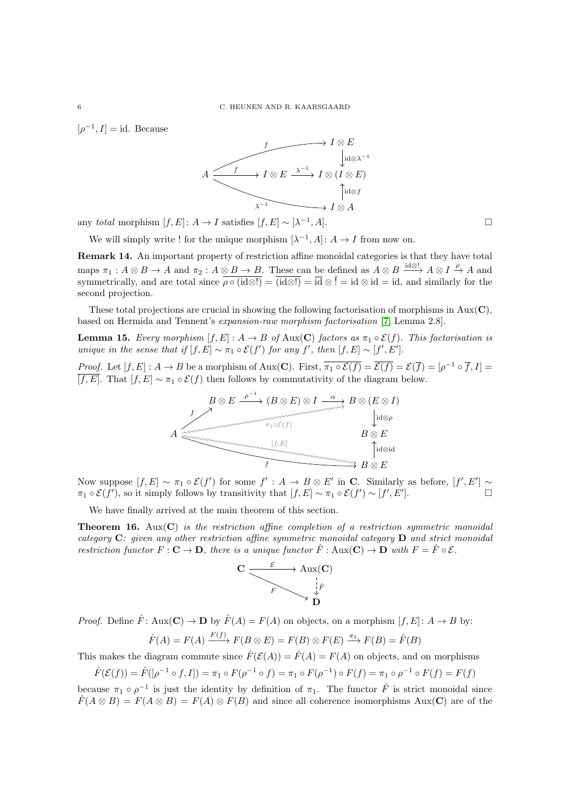$[\rho^{-1}, I] = \text{id}$ . Because



any total morphism  $[f, E] : A \to I$  satisfies  $[f, E] \sim [\lambda^{-1}]$  $, A$ ].

We will simply write ! for the unique morphism  $[\lambda^{-1}, A] : A \to I$  from now on.

Remark 14. An important property of restriction affine monoidal categories is that they have total maps  $\pi_1: A \otimes B \to A$  and  $\pi_2: A \otimes B \to B$ . These can be defined as  $A \otimes B \xrightarrow{\mathrm{id} \otimes !} A \otimes I \xrightarrow{\rho} A$  and symmetrically, and are total since  $\rho \circ (\text{id} \otimes!) = (\text{id} \otimes!) = \text{id} \otimes \text{id} = \text{id}$ , and similarly for the second projection.

These total projections are crucial in showing the following factorisation of morphisms in  $\text{Aux}(\mathbf{C})$ , based on Hermida and Tennent's expansion-raw morphism factorisation [\[7,](#page-10-9) Lemma 2.8].

<span id="page-5-0"></span>**Lemma 15.** Every morphism  $[f, E] : A \to B$  of Aux(C) factors as  $\pi_1 \circ \mathcal{E}(f)$ . This factorisation is unique in the sense that if  $[f, E] \sim \pi_1 \circ \mathcal{E}(f')$  for any f', then  $[f, E] \sim [f', E']$ .

*Proof.* Let  $[f, E] : A \to B$  be a morphism of Aux(C). First,  $\overline{\pi_1 \circ \mathcal{E}(f)} = \overline{\mathcal{E}(f)} = \mathcal{E}(\overline{f}) = [\rho^{-1} \circ \overline{f}, I] =$  $\overline{[f, E]}$ . That  $[f, E] \sim \pi_1 \circ \mathcal{E}(f)$  then follows by commutativity of the diagram below.



Now suppose  $[f, E] \sim \pi_1 \circ \mathcal{E}(f')$  for some  $f' : A \to B \otimes E'$  in C. Similarly as before,  $[f', E'] \sim$  $\pi_1 \circ \mathcal{E}(f')$ , so it simply follows by transitivity that  $[f, E] \sim \pi_1 \circ \mathcal{E}(f') \sim [f', E']$  $\begin{array}{ccc} \n\cdot & \cdot & \cdot & \n\end{array}$ 

We have finally arrived at the main theorem of this section.

<span id="page-5-1"></span>**Theorem 16.** Aux( $C$ ) is the restriction affine completion of a restriction symmetric monoidal category  $C$ : given any other restriction affine symmetric monoidal category  $D$  and strict monoidal restriction functor  $F: \mathbf{C} \to \mathbf{D}$ , there is a unique functor  $\hat{F}: \text{Aux}(\mathbf{C}) \to \mathbf{D}$  with  $F = \hat{F} \circ \mathcal{E}$ .



*Proof.* Define  $\hat{F}$ : Aux(**C**)  $\rightarrow$  **D** by  $\hat{F}(A) = F(A)$  on objects, on a morphism  $[f, E]$ :  $A \rightarrow B$  by:

$$
\hat{F}(A) = F(A) \xrightarrow{F(f)} F(B \otimes E) = F(B) \otimes F(E) \xrightarrow{\pi_1} F(B) = \hat{F}(B)
$$

This makes the diagram commute since  $\hat{F}(\mathcal{E}(A)) = \hat{F}(A) = F(A)$  on objects, and on morphisms

$$
\hat{F}(\mathcal{E}(f)) = \hat{F}([\rho^{-1} \circ f, I]) = \pi_1 \circ F(\rho^{-1} \circ f) = \pi_1 \circ F(\rho^{-1}) \circ F(f) = \pi_1 \circ \rho^{-1} \circ F(f) = F(f)
$$

because  $\pi_1 \circ \rho^{-1}$  is just the identity by definition of  $\pi_1$ . The functor  $\hat{F}$  is strict monoidal since  $\hat{F}(A \otimes B) = F(A \otimes B) = F(A) \otimes F(B)$  and since all coherence isomorphisms Aux(C) are of the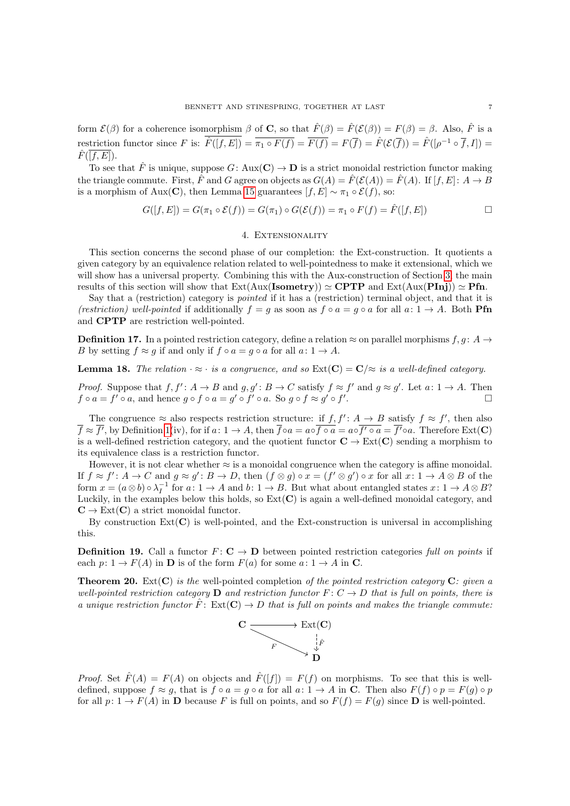form  $\mathcal{E}(\beta)$  for a coherence isomorphism  $\beta$  of **C**, so that  $\hat{F}(\beta) = \hat{F}(\mathcal{E}(\beta)) = F(\beta) = \beta$ . Also,  $\hat{F}$  is a restriction functor since F is:  $\hat{F}([f, E]) = \overline{\pi_1 \circ F(f)} = \overline{F(f)} = F(\overline{f}) = \hat{F}(\mathcal{E}(\overline{f})) = \hat{F}([\rho^{-1} \circ \overline{f}, I]) =$  $\hat{F}(\overline{[f,E]})$ .

To see that  $\hat{F}$  is unique, suppose  $G: \text{Aux}(\mathbf{C}) \to \mathbf{D}$  is a strict monoidal restriction functor making the triangle commute. First,  $\hat{F}$  and G agree on objects as  $G(A) = \hat{F}(\mathcal{E}(A)) = \hat{F}(A)$ . If  $[f, E] : A \to B$ is a morphism of Aux(C), then Lemma [15](#page-5-0) guarantees  $[f, E] \sim \pi_1 \circ \mathcal{E}(f)$ , so:

$$
G([f, E]) = G(\pi_1 \circ \mathcal{E}(f)) = G(\pi_1) \circ G(\mathcal{E}(f)) = \pi_1 \circ F(f) = \hat{F}([f, E]) \square
$$

# 4. Extensionality

<span id="page-6-0"></span>This section concerns the second phase of our completion: the Ext-construction. It quotients a given category by an equivalence relation related to well-pointedness to make it extensional, which we will show has a universal property. Combining this with the Aux-construction of Section [3,](#page-2-0) the main results of this section will show that  $Ext(Aux(Isometry)) \simeq \mathbf{CPTP}$  and  $Ext(Aux(Pinj)) \simeq \mathbf{Pfn}$ .

Say that a (restriction) category is pointed if it has a (restriction) terminal object, and that it is (restriction) well-pointed if additionally  $f = g$  as soon as  $f \circ a = g \circ a$  for all  $a: 1 \to A$ . Both **Pfn** and CPTP are restriction well-pointed.

**Definition 17.** In a pointed restriction category, define a relation  $\approx$  on parallel morphisms  $f, g: A \rightarrow$ B by setting  $f \approx g$  if and only if  $f \circ a = g \circ a$  for all  $a: 1 \to A$ .

**Lemma 18.** The relation  $\cdot \approx \cdot$  is a congruence, and so  $Ext(C) = C/\approx$  is a well-defined category.

*Proof.* Suppose that  $f, f' : A \to B$  and  $g, g' : B \to C$  satisfy  $f \approx f'$  and  $g \approx g'$ . Let  $a : 1 \to A$ . Then  $f \circ a = f' \circ a$ , and hence  $g \circ f \circ a = g' \circ f' \circ a$ . So  $g \circ f \approx g' \circ f'$ . В последните последните последните под на селото на селото на селото на селото на селото на селото на селото<br>В селото на селото на селото на селото на селото на селото на селото на селото на селото на селото на селото н

The congruence  $\approx$  also respects restriction structure: if  $f, f' : A \to B$  satisfy  $f \approx f'$ , then also  $\overline{f} \approx \overline{f'}$ , by Definition [1\(](#page-1-1)iv), for if  $a: 1 \to A$ , then  $\overline{f} \circ a = a \circ \overline{f \circ a} = a \circ \overline{f'} \circ a = \overline{f'} \circ a$ . Therefore Ext(C) is a well-defined restriction category, and the quotient functor  $C \to \text{Ext}(C)$  sending a morphism to its equivalence class is a restriction functor.

However, it is not clear whether  $\approx$  is a monoidal congruence when the category is affine monoidal. If  $f \approx f' : A \to C$  and  $g \approx g' : B \to D$ , then  $(f \otimes g) \circ x = (f' \otimes g') \circ x$  for all  $x : 1 \to A \otimes B$  of the form  $x = (a \otimes b) \circ \lambda_I^{-1}$  for  $a: 1 \to A$  and  $b: 1 \to B$ . But what about entangled states  $x: 1 \to A \otimes B$ ? Luckily, in the examples below this holds, so  $Ext(C)$  is again a well-defined monoidal category, and  $\mathbf{C} \to \text{Ext}(\mathbf{C})$  a strict monoidal functor.

By construction  $Ext(C)$  is well-pointed, and the Ext-construction is universal in accomplishing this.

**Definition 19.** Call a functor  $F: \mathbf{C} \to \mathbf{D}$  between pointed restriction categories full on points if each  $p: 1 \to F(A)$  in **D** is of the form  $F(a)$  for some  $a: 1 \to A$  in **C**.

<span id="page-6-1"></span>**Theorem 20.** Ext( $\mathbf{C}$ ) is the well-pointed completion of the pointed restriction category  $\mathbf{C}$ : given a well-pointed restriction category **D** and restriction functor  $F: C \to D$  that is full on points, there is a unique restriction functor  $\hat{F}$ :  $Ext(C) \to D$  that is full on points and makes the triangle commute:



*Proof.* Set  $\hat{F}(A) = F(A)$  on objects and  $\hat{F}([f]) = F(f)$  on morphisms. To see that this is welldefined, suppose  $f \approx q$ , that is  $f \circ a = q \circ a$  for all  $a: 1 \to A$  in C. Then also  $F(f) \circ p = F(q) \circ p$ for all  $p: 1 \to F(A)$  in **D** because F is full on points, and so  $F(f) = F(g)$  since **D** is well-pointed.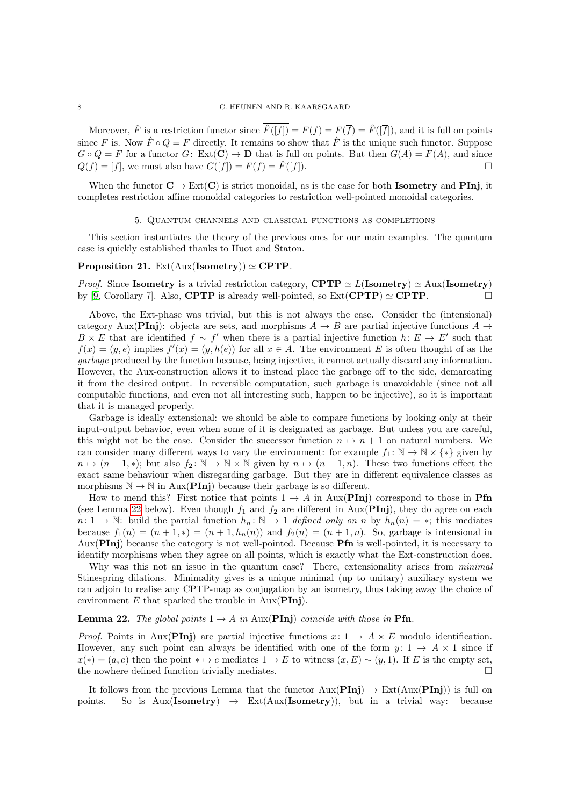Moreover,  $\hat{F}$  is a restriction functor since  $\hat{F}([f]) = \overline{F(f)} = F(\overline{f}) = \hat{F}([\overline{f}])$ , and it is full on points since F is. Now  $\hat{F} \circ Q = F$  directly. It remains to show that  $\hat{F}$  is the unique such functor. Suppose  $G \circ Q = F$  for a functor  $G: Ext(C) \to D$  that is full on points. But then  $G(A) = F(A)$ , and since  $Q(f) = [f]$ , we must also have  $G([f]) = F(f) = \hat{F}([f]).$ 

When the functor  $\mathbf{C} \to \text{Ext}(\mathbf{C})$  is strict monoidal, as is the case for both **Isometry** and **PInj**, it completes restriction affine monoidal categories to restriction well-pointed monoidal categories.

#### 5. Quantum channels and classical functions as completions

<span id="page-7-0"></span>This section instantiates the theory of the previous ones for our main examples. The quantum case is quickly established thanks to Huot and Staton.

# <span id="page-7-2"></span>Proposition 21. Ext $(Aux(Isometry)) \simeq CPTP$ .

*Proof.* Since Isometry is a trivial restriction category, CPTP  $\simeq L(\text{Isometry}) \simeq \text{Aux}(\text{Isometry})$ by [\[9,](#page-10-5) Corollary 7]. Also, **CPTP** is already well-pointed, so  $Ext(\mathbf{CPTP}) \simeq \mathbf{CPTP}$ .

Above, the Ext-phase was trivial, but this is not always the case. Consider the (intensional) category Aux(PInj): objects are sets, and morphisms  $A \rightarrow B$  are partial injective functions  $A \rightarrow$ B × E that are identified  $f \sim f'$  when there is a partial injective function  $h: E \to E'$  such that  $f(x) = (y, e)$  implies  $f'(x) = (y, h(e))$  for all  $x \in A$ . The environment E is often thought of as the garbage produced by the function because, being injective, it cannot actually discard any information. However, the Aux-construction allows it to instead place the garbage off to the side, demarcating it from the desired output. In reversible computation, such garbage is unavoidable (since not all computable functions, and even not all interesting such, happen to be injective), so it is important that it is managed properly.

Garbage is ideally extensional: we should be able to compare functions by looking only at their input-output behavior, even when some of it is designated as garbage. But unless you are careful, this might not be the case. Consider the successor function  $n \mapsto n + 1$  on natural numbers. We can consider many different ways to vary the environment: for example  $f_1 : \mathbb{N} \to \mathbb{N} \times \{*\}$  given by  $n \mapsto (n + 1, *)$ ; but also  $f_2 : \mathbb{N} \to \mathbb{N} \times \mathbb{N}$  given by  $n \mapsto (n + 1, n)$ . These two functions effect the exact same behaviour when disregarding garbage. But they are in different equivalence classes as morphisms  $\mathbb{N} \to \mathbb{N}$  in Aux(**PInj**) because their garbage is so different.

How to mend this? First notice that points  $1 \rightarrow A$  in Aux(PInj) correspond to those in Pfn (see Lemma [22](#page-7-1) below). Even though  $f_1$  and  $f_2$  are different in Aux( $\text{Pin}$ ), they do agree on each  $n: 1 \to \mathbb{N}$ : build the partial function  $h_n: \mathbb{N} \to 1$  defined only on n by  $h_n(n) = *$ ; this mediates because  $f_1(n) = (n+1, *) = (n+1, h_n(n))$  and  $f_2(n) = (n+1, n)$ . So, garbage is intensional in Aux(PInj) because the category is not well-pointed. Because Pfn is well-pointed, it is necessary to identify morphisms when they agree on all points, which is exactly what the Ext-construction does.

Why was this not an issue in the quantum case? There, extensionality arises from *minimal* Stinespring dilations. Minimality gives is a unique minimal (up to unitary) auxiliary system we can adjoin to realise any CPTP-map as conjugation by an isometry, thus taking away the choice of environment  $E$  that sparked the trouble in  $Aux(PInj)$ .

### <span id="page-7-1"></span>**Lemma 22.** The global points  $1 \rightarrow A$  in Aux(PInj) coincide with those in Pfn.

*Proof.* Points in Aux(PInj) are partial injective functions  $x: 1 \rightarrow A \times E$  modulo identification. However, any such point can always be identified with one of the form  $y: 1 \rightarrow A \times 1$  since if  $x(*) = (a, e)$  then the point  $* \mapsto e$  mediates  $1 \to E$  to witness  $(x, E) \sim (y, 1)$ . If E is the empty set, the nowhere defined function trivially mediates.

It follows from the previous Lemma that the functor  $\text{Aux}(\text{Pin}_1) \rightarrow \text{Ext}(\text{Aux}(\text{Pin}_1))$  is full on points. So is  $Aux(Isometry) \rightarrow Ext(Aux(Isometry))$ , but in a trivial way: because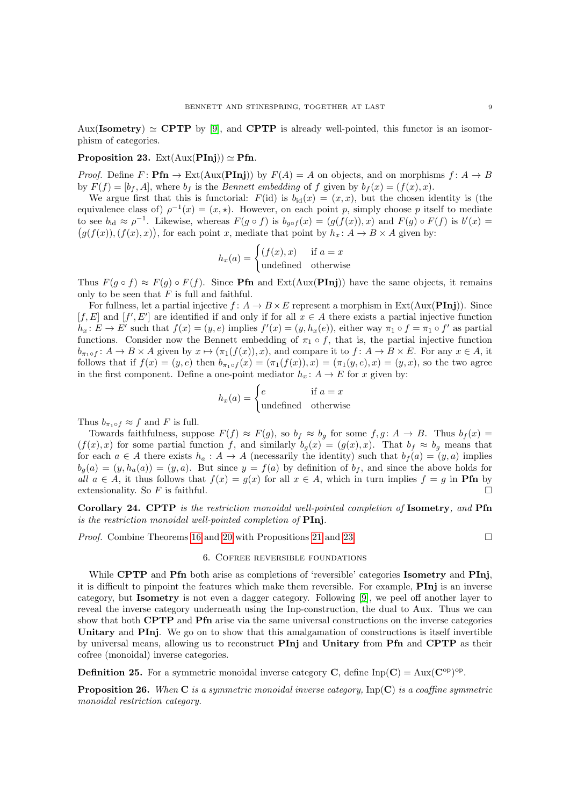Aux(Isometry)  $\simeq$  CPTP by [\[9\]](#page-10-5), and CPTP is already well-pointed, this functor is an isomorphism of categories.

## <span id="page-8-1"></span>Proposition 23. Ext $(Aux(Pini)) \simeq Pfn$ .

*Proof.* Define  $F: \textbf{Pfn} \to \text{Ext}(Aux(\textbf{Pin}))$  by  $F(A) = A$  on objects, and on morphisms  $f: A \to B$ by  $F(f) = [b_f, A]$ , where  $b_f$  is the *Bennett embedding* of f given by  $b_f(x) = (f(x), x)$ .

We argue first that this is functorial:  $F(id)$  is  $b_{id}(x) = (x, x)$ , but the chosen identity is (the equivalence class of)  $\rho^{-1}(x) = (x, \star)$ . However, on each point p, simply choose p itself to mediate to see  $b_{\rm id} \approx \rho^{-1}$ . Likewise, whereas  $F(g \circ f)$  is  $b_{g \circ f}(x) = (g(f(x)), x)$  and  $F(g) \circ F(f)$  is  $b'(x) =$  $(g(f(x)),(f(x), x))$ , for each point x, mediate that point by  $h_x: A \to B \times A$  given by:

$$
h_x(a) = \begin{cases} (f(x), x) & \text{if } a = x\\ \text{undefined} & \text{otherwise} \end{cases}
$$

Thus  $F(g \circ f) \approx F(g) \circ F(f)$ . Since **Pfn** and Ext(Aux(**PInj**)) have the same objects, it remains only to be seen that  $F$  is full and faithful.

For fullness, let a partial injective  $f: A \to B \times E$  represent a morphism in Ext $(Aux(Pinj))$ . Since  $[f, E]$  and  $[f', E']$  are identified if and only if for all  $x \in A$  there exists a partial injective function  $h_x: E \to E'$  such that  $f(x) = (y, e)$  implies  $f'(x) = (y, h_x(e))$ , either way  $\pi_1 \circ f = \pi_1 \circ f'$  as partial functions. Consider now the Bennett embedding of  $\pi_1 \circ f$ , that is, the partial injective function  $b_{\pi_1 \circ f}: A \to B \times A$  given by  $x \mapsto (\pi_1(f(x)), x)$ , and compare it to  $f: A \to B \times E$ . For any  $x \in A$ , it follows that if  $f(x) = (y, e)$  then  $b_{\pi_1 \circ f}(x) = (\pi_1(f(x)), x) = (\pi_1(y, e), x) = (y, x)$ , so the two agree in the first component. Define a one-point mediator  $h_x \colon A \to E$  for x given by:

$$
h_x(a) = \begin{cases} e & \text{if } a = x \\ \text{undefined} & \text{otherwise} \end{cases}
$$

Thus  $b_{\pi_1 \circ f} \approx f$  and F is full.

Towards faithfulness, suppose  $F(f) \approx F(g)$ , so  $b_f \approx b_g$  for some  $f, g \colon A \to B$ . Thus  $b_f(x) =$  $(f(x), x)$  for some partial function f, and similarly  $b_g(x) = (g(x), x)$ . That  $b_f \approx b_g$  means that for each  $a \in A$  there exists  $h_a: A \to A$  (necessarily the identity) such that  $b_f(a) = (y, a)$  implies  $b_q(a) = (y, h_a(a)) = (y, a)$ . But since  $y = f(a)$  by definition of  $b_f$ , and since the above holds for all  $a \in A$ , it thus follows that  $f(x) = g(x)$  for all  $x \in A$ , which in turn implies  $f = g$  in **Pfn** by extensionality. So F is faithful.  $\Box$ 

Corollary 24. CPTP is the restriction monoidal well-pointed completion of Isometry, and Pfn is the restriction monoidal well-pointed completion of **PInj**.

<span id="page-8-0"></span>*Proof.* Combine Theorems [16](#page-5-1) and [20](#page-6-1) with Propositions [21](#page-7-2) and [23.](#page-8-1) □

#### 6. Cofree reversible foundations

While **CPTP** and **Pfn** both arise as completions of 'reversible' categories **Isometry** and **PIni**, it is difficult to pinpoint the features which make them reversible. For example, PInj is an inverse category, but Isometry is not even a dagger category. Following [\[9\]](#page-10-5), we peel off another layer to reveal the inverse category underneath using the Inp-construction, the dual to Aux. Thus we can show that both **CPTP** and **Pfn** arise via the same universal constructions on the inverse categories Unitary and PInj. We go on to show that this amalgamation of constructions is itself invertible by universal means, allowing us to reconstruct PInj and Unitary from Pfn and CPTP as their cofree (monoidal) inverse categories.

**Definition 25.** For a symmetric monoidal inverse category **C**, define  $\text{Inp}(\mathbf{C}) = \text{Aux}(\mathbf{C}^{\text{op}})^{\text{op}}$ .

**Proposition 26.** When  $C$  is a symmetric monoidal inverse category,  $\text{Imp}(C)$  is a coaffine symmetric monoidal restriction category.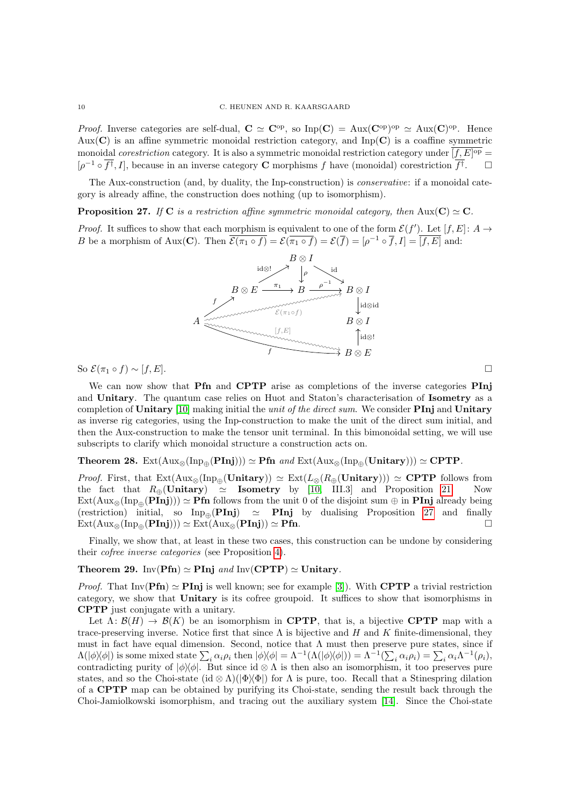*Proof.* Inverse categories are self-dual,  $C \simeq C^{\rm op}$ , so  $\text{Inp}(C) = \text{Aux} (C^{\rm op})^{\rm op} \simeq \text{Aux} (C)^{\rm op}$ . Hence Aux( $\bf{C}$ ) is an affine symmetric monoidal restriction category, and Inp( $\bf{C}$ ) is a coaffine symmetric monoidal correstriction category. It is also a symmetric monoidal restriction category under  $[f, E]$ <sup>op</sup>  $[\rho^{-1} \circ \overline{f}^{\dagger}, I]$ , because in an inverse category **C** morphisms f have (monoidal) corestriction  $\overline{f}^{\dagger}$  $\Box$ 

The Aux-construction (and, by duality, the Inp-construction) is conservative: if a monoidal category is already affine, the construction does nothing (up to isomorphism).

<span id="page-9-0"></span>**Proposition 27.** If C is a restriction affine symmetric monoidal category, then Aux(C)  $\simeq$  C.

*Proof.* It suffices to show that each morphism is equivalent to one of the form  $\mathcal{E}(f')$ . Let  $[f, E]$ :  $A \rightarrow$ B be a morphism of Aux(C). Then  $\overline{\mathcal{E}(\pi_1 \circ f)} = \mathcal{E}(\overline{\pi_1 \circ f}) = \mathcal{E}(\overline{f}) = [\rho^{-1} \circ \overline{f}, I] = \overline{[f, E]}$  and:



So  $\mathcal{E}(\pi_1 \circ f) \sim [f, E].$ 

We can now show that **Pfn** and **CPTP** arise as completions of the inverse categories **PInj** and Unitary. The quantum case relies on Huot and Staton's characterisation of Isometry as a completion of Unitary  $[10]$  making initial the unit of the direct sum. We consider **PInj** and Unitary as inverse rig categories, using the Inp-construction to make the unit of the direct sum initial, and then the Aux-construction to make the tensor unit terminal. In this bimonoidal setting, we will use subscripts to clarify which monoidal structure a construction acts on.

# Theorem 28.  $Ext(Aux_{\otimes}(Inp_{\oplus}(Pinj))) \simeq Pfn$  and  $Ext(Aux_{\otimes}(Inp_{\oplus}(Unitary))) \simeq CPTP$ .

*Proof.* First, that  $Ext(Aux_{\otimes}(Inp_{\oplus}(Unitary))) \simeq Ext(L_{\otimes}(R_{\oplus}(Unitary))) \simeq \textbf{CPTP}$  follows from the fact that  $R_{\odot}(Unitary) \simeq$  **Isometry** by [10, III.3] and Proposition 21. Now the fact that  $R_{\oplus}(\text{Unitary}) \cong$  Isometry by [\[10,](#page-10-6) III.3] and Proposition [21.](#page-7-2)  $\text{Ext}(\text{Aux}_{\otimes}(\text{Inp}_{\oplus}(\text{Pinj}))) \simeq \text{Pfn}$  follows from the unit 0 of the disjoint sum  $\oplus$  in **PInj** already being (restriction) initial, so  $\text{Inp}_{\text{m}}(\text{PInj}) \simeq \text{PInj}$  by dualising Proposition [27](#page-9-0) and finally  $\text{Ext}(\text{Aux}_{\otimes}(\text{PInj}))) \simeq \text{Ext}(\text{Aux}_{\otimes}(\text{PInj})) \simeq \text{Pfn}.$ 

Finally, we show that, at least in these two cases, this construction can be undone by considering their cofree inverse categories (see Proposition [4\)](#page-2-1).

# Theorem 29. Inv(Pfn)  $\simeq$  PInj and Inv(CPTP)  $\simeq$  Unitary.

*Proof.* That Inv( $\text{Pfn}$ )  $\simeq$  PInj is well known; see for example [\[3\]](#page-10-11)). With CPTP a trivial restriction category, we show that Unitary is its cofree groupoid. It suffices to show that isomorphisms in CPTP just conjugate with a unitary.

Let  $\Lambda: \mathcal{B}(H) \to \mathcal{B}(K)$  be an isomorphism in CPTP, that is, a bijective CPTP map with a trace-preserving inverse. Notice first that since  $\Lambda$  is bijective and H and K finite-dimensional, they must in fact have equal dimension. Second, notice that  $\Lambda$  must then preserve pure states, since if  $\Lambda(|\phi\rangle\langle\phi|)$  is some mixed state  $\sum_i \alpha_i \rho_i$  then  $|\phi\rangle\langle\phi| = \Lambda^{-1}(\Lambda(|\phi\rangle\langle\phi|)) = \Lambda^{-1}(\sum_i \alpha_i \rho_i) = \sum_i \alpha_i \Lambda^{-1}(\rho_i)$ , contradicting purity of  $|\phi\rangle\langle\phi|$ . But since id ⊗  $\Lambda$  is then also an isomorphism, it too preserves pure states, and so the Choi-state (id  $\otimes \Lambda$ )( $\Phi$ ) for  $\Lambda$  is pure, too. Recall that a Stinespring dilation of a CPTP map can be obtained by purifying its Choi-state, sending the result back through the Choi-Jamiolkowski isomorphism, and tracing out the auxiliary system [\[14\]](#page-10-16). Since the Choi-state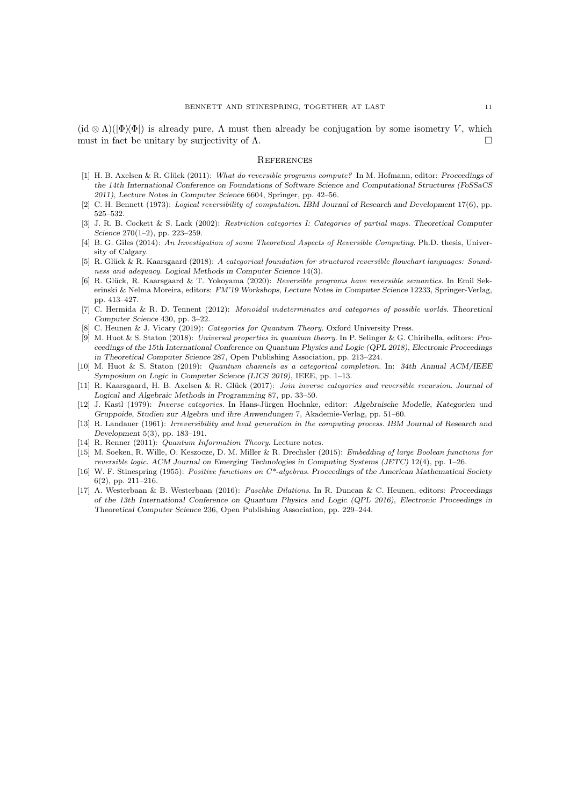$(id \otimes \Lambda)(\phi \otimes \phi)$  is already pure,  $\Lambda$  must then already be conjugation by some isometry V, which must in fact be unitary by surjectivity of  $\Lambda$ .

#### **REFERENCES**

- <span id="page-10-3"></span>[1] H. B. Axelsen & R. Glück (2011): What do reversible programs compute? In M. Hofmann, editor: Proceedings of the 14th International Conference on Foundations of Software Science and Computational Structures (FoSSaCS 2011), Lecture Notes in Computer Science 6604, Springer, pp. 42–56.
- <span id="page-10-1"></span>[2] C. H. Bennett (1973): Logical reversibility of computation. IBM Journal of Research and Development 17(6), pp. 525–532.
- <span id="page-10-11"></span>[3] J. R. B. Cockett & S. Lack (2002): Restriction categories I: Categories of partial maps. Theoretical Computer Science 270(1–2), pp. 223–259.
- <span id="page-10-8"></span>[4] B. G. Giles (2014): An Investigation of some Theoretical Aspects of Reversible Computing. Ph.D. thesis, University of Calgary.
- <span id="page-10-14"></span>[5] R. Glück & R. Kaarsgaard (2018): A categorical foundation for structured reversible flowchart languages: Soundness and adequacy. Logical Methods in Computer Science 14(3).
- <span id="page-10-15"></span>[6] R. Glück, R. Kaarsgaard & T. Yokoyama (2020): Reversible programs have reversible semantics. In Emil Sekerinski & Nelma Moreira, editors: FM'19 Workshops, Lecture Notes in Computer Science 12233, Springer-Verlag, pp. 413–427.
- <span id="page-10-9"></span>[7] C. Hermida & R. D. Tennent (2012): Monoidal indeterminates and categories of possible worlds. Theoretical Computer Science 430, pp. 3–22.
- <span id="page-10-10"></span>[8] C. Heunen & J. Vicary (2019): Categories for Quantum Theory. Oxford University Press.
- <span id="page-10-5"></span>[9] M. Huot & S. Staton (2018): Universal properties in quantum theory. In P. Selinger & G. Chiribella, editors: Proceedings of the 15th International Conference on Quantum Physics and Logic (QPL 2018), Electronic Proceedings in Theoretical Computer Science 287, Open Publishing Association, pp. 213–224.
- <span id="page-10-6"></span>[10] M. Huot & S. Staton (2019): Quantum channels as a categorical completion. In: 34th Annual ACM/IEEE Symposium on Logic in Computer Science (LICS 2019), IEEE, pp. 1–13.
- <span id="page-10-13"></span>[11] R. Kaarsgaard, H. B. Axelsen & R. Glück (2017): Join inverse categories and reversible recursion. Journal of Logical and Algebraic Methods in Programming 87, pp. 33–50.
- <span id="page-10-12"></span>[12] J. Kastl (1979): *Inverse categories*. In Hans-Jürgen Hoehnke, editor: Algebraische Modelle, Kategorien und Gruppoide, Studien zur Algebra und ihre Anwendungen 7, Akademie-Verlag, pp. 51–60.
- <span id="page-10-4"></span>[13] R. Landauer (1961): Irreversibility and heat generation in the computing process. IBM Journal of Research and Development 5(3), pp. 183–191.
- <span id="page-10-16"></span>[14] R. Renner (2011): Quantum Information Theory. Lecture notes.
- <span id="page-10-2"></span>[15] M. Soeken, R. Wille, O. Keszocze, D. M. Miller & R. Drechsler (2015): Embedding of large Boolean functions for reversible logic. ACM Journal on Emerging Technologies in Computing Systems (JETC) 12(4), pp. 1–26.
- <span id="page-10-0"></span>[16] W. F. Stinespring (1955): Positive functions on C<sup>\*</sup>-algebras. Proceedings of the American Mathematical Society 6(2), pp. 211–216.
- <span id="page-10-7"></span>[17] A. Westerbaan & B. Westerbaan (2016): Paschke Dilations. In R. Duncan & C. Heunen, editors: Proceedings of the 13th International Conference on Quantum Physics and Logic (QPL 2016), Electronic Proceedings in Theoretical Computer Science 236, Open Publishing Association, pp. 229–244.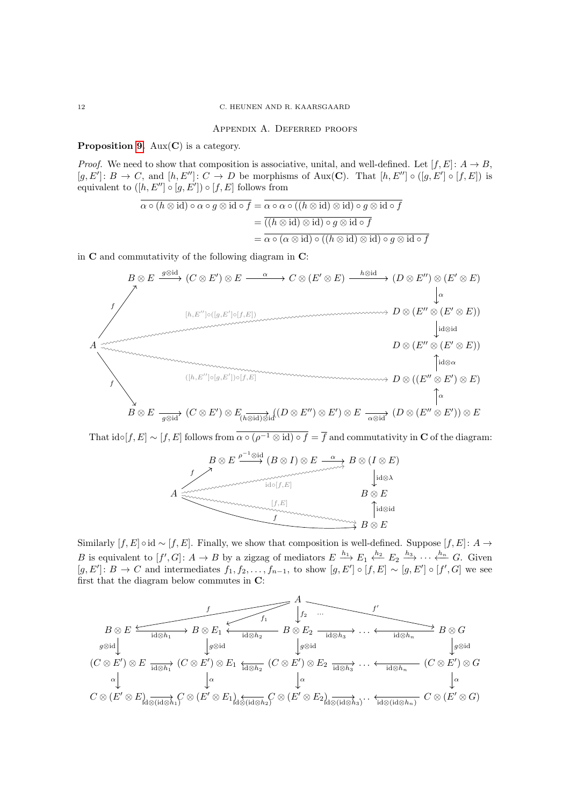#### Appendix A. Deferred proofs

## <span id="page-11-0"></span>**Proposition [9.](#page-4-1)** Aux( $C$ ) is a category.

*Proof.* We need to show that composition is associative, unital, and well-defined. Let  $[f, E]$ :  $A \rightarrow B$ .  $[g, E'] : B \to C$ , and  $[h, E''] : C \to D$  be morphisms of Aux(C). That  $[h, E''] \circ (g, E'] \circ [f, E])$  is equivalent to  $([h, E''] \circ [g, E']) \circ [f, E]$  follows from

$$
\overline{\alpha \circ (h \otimes id) \circ \alpha \circ g \otimes id \circ f} = \overline{\alpha \circ \alpha \circ ((h \otimes id) \otimes id) \circ g \otimes id \circ f}
$$

$$
= \overline{((h \otimes id) \otimes id) \circ g \otimes id \circ f}
$$

$$
= \overline{\alpha \circ (\alpha \otimes id) \circ ((h \otimes id) \otimes id) \circ g \otimes id \circ f}
$$

in C and commutativity of the following diagram in C:



That  $id \circ [f, E] \sim [f, E]$  follows from  $\overline{\alpha \circ (\rho^{-1} \otimes id) \circ f} = \overline{f}$  and commutativity in C of the diagram:



Similarly  $[f, E] \circ id \sim [f, E]$ . Finally, we show that composition is well-defined. Suppose  $[f, E] : A \to$ B is equivalent to  $[f', G] \colon A \to B$  by a zigzag of mediators  $E \xrightarrow{h_1} E_1 \xleftarrow{h_2} E_2 \xrightarrow{h_3} \cdots \xleftarrow{h_n} G$ . Given  $[g, E'] : B \to C$  and intermediates  $f_1, f_2, \ldots, f_{n-1}$ , to show  $[g, E'] \circ [f, E] \sim [g, E'] \circ [f', G]$  we see first that the diagram below commutes in C:

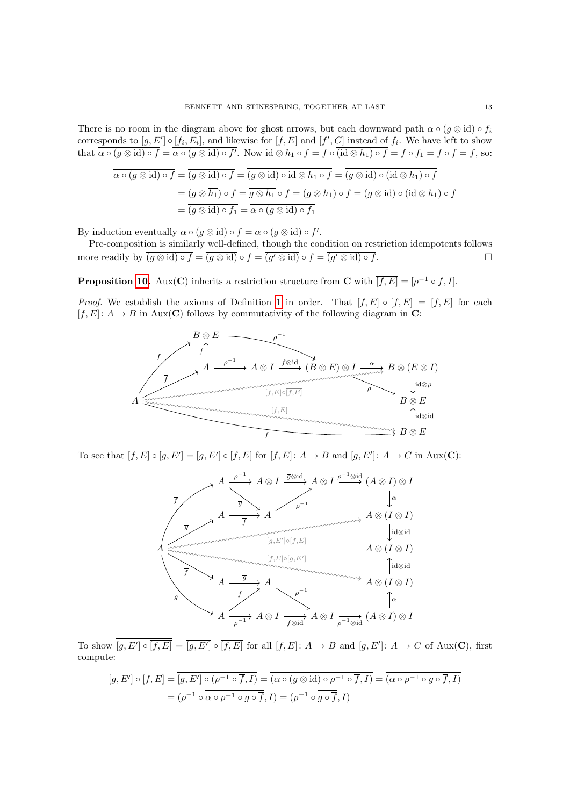There is no room in the diagram above for ghost arrows, but each downward path  $\alpha \circ (g \otimes id) \circ f_i$ corresponds to  $[g, E'] \circ [f_i, E_i]$ , and likewise for  $[f, E]$  and  $[f', G]$  instead of  $f_i$ . We have left to show that  $\alpha \circ (g \otimes id) \circ f = \alpha \circ (g \otimes id) \circ f'$ . Now  $\overline{id \otimes h_1} \circ f = f \circ (\mathrm{id} \otimes h_1) \circ f = f \circ \overline{f_1} = f \circ \overline{f} = f$ , so:

$$
\overline{\alpha \circ (g \otimes id) \circ f} = \overline{(g \otimes id) \circ f} = \overline{(g \otimes id) \circ id \otimes h_1} \circ f = \overline{(g \otimes id) \circ (id \otimes h_1)} \circ f
$$

$$
= \overline{(g \otimes h_1) \circ f} = \overline{g \otimes h_1} \circ f} = \overline{(g \otimes h_1) \circ f} = \overline{(g \otimes id) \circ (id \otimes h_1) \circ f}
$$

$$
= \overline{(g \otimes id) \circ f_1} = \overline{\alpha \circ (g \otimes id) \circ f_1}
$$

By induction eventually  $\alpha \circ (g \otimes id) \circ f = \alpha \circ (g \otimes id) \circ f'$ .

Pre-composition is similarly well-defined, though the condition on restriction idempotents follows more readily by  $\overline{(g \otimes id) \circ f} = \overline{(g \otimes id)} \circ f = \overline{(g' \otimes id)} \circ f = \overline{(g' \otimes id) \circ f}$ .

**Proposition [10.](#page-4-2)** Aux(**C**) inherits a restriction structure from **C** with  $\overline{[f, E]} = [\rho^{-1} \circ \overline{f}, I].$ 

*Proof.* We establish the axioms of Definition [1](#page-1-1) in order. That  $[f, E] \circ \overline{[f, E]} = [f, E]$  for each  $[f, E] : A \to B$  in Aux(C) follows by commutativity of the following diagram in C:



To see that  $\overline{[f,E]} \circ \overline{[g,E']} = \overline{[g,E']} \circ \overline{[f,E]}$  for  $[f,E]: A \to B$  and  $[g,E']: A \to C$  in Aux(C):



To show  $[g, E'] \circ \overline{[f, E]} = \overline{[g, E']} \circ \overline{[f, E]}$  for all  $[f, E] : A \to B$  and  $[g, E'] : A \to C$  of Aux(C), first compute:

$$
[g, E'] \circ \overline{[f, E]} = [g, E'] \circ (\rho^{-1} \circ \overline{f}, I) = (\alpha \circ (g \otimes id) \circ \rho^{-1} \circ \overline{f}, I) = (\alpha \circ \rho^{-1} \circ g \circ \overline{f}, I)
$$

$$
= (\rho^{-1} \circ \overline{\alpha \circ \rho^{-1} \circ g \circ \overline{f}}, I) = (\rho^{-1} \circ \overline{g \circ \overline{f}}, I)
$$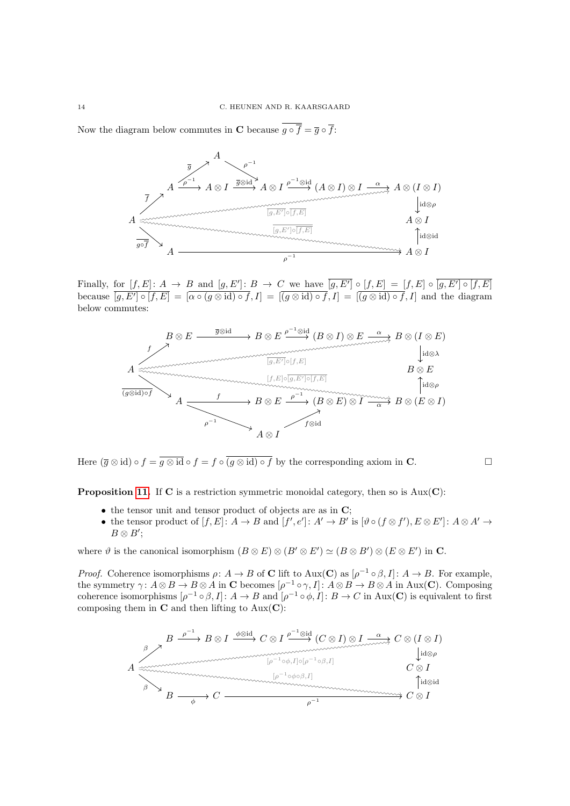Now the diagram below commutes in C because  $g \circ \overline{f} = \overline{g} \circ \overline{f}$ :



Finally, for  $[f, E] : A \to B$  and  $[g, E'] : B \to C$  we have  $[g, E'] \circ [f, E] = [f, E] \circ [g, E'] \circ [f, E]$ because  $[g, E'] \circ [f, E] = [\alpha \circ (g \otimes id) \circ f, I] = [(g \otimes id) \circ f, I] = [(g \otimes id) \circ f, I]$  and the diagram below commutes:



Here  $(\overline{g} \otimes id) \circ f = \overline{g \otimes id} \circ f = f \circ \overline{(g \otimes id) \circ f}$  by the corresponding axiom in **C**.

**Proposition [11.](#page-4-0)** If  $C$  is a restriction symmetric monoidal category, then so is  $Aux(C)$ :

- $\bullet$  the tensor unit and tensor product of objects are as in  $\mathbf{C}$ :
- the tensor product of  $[f, E] : A \to B$  and  $[f', e'] : A' \to B'$  is  $[\vartheta \circ (f \otimes f'), E \otimes E'] : A \otimes A' \to$  $B \otimes B'$ ;

where  $\vartheta$  is the canonical isomorphism  $(B \otimes E) \otimes (B' \otimes E') \simeq (B \otimes B') \otimes (E \otimes E')$  in C.

*Proof.* Coherence isomorphisms  $\rho: A \to B$  of **C** lift to Aux(**C**) as  $[\rho^{-1} \circ \beta, I]: A \to B$ . For example, the symmetry  $\gamma: A \otimes B \to B \otimes A$  in C becomes  $[\rho^{-1} \circ \gamma, I] : A \otimes B \to B \otimes A$  in Aux(C). Composing coherence isomorphisms  $[\rho^{-1} \circ \beta, I] : A \to B$  and  $[\rho^{-1} \circ \phi, I] : B \to C$  in Aux(C) is equivalent to first composing them in  $C$  and then lifting to  $Aux(C)$ :